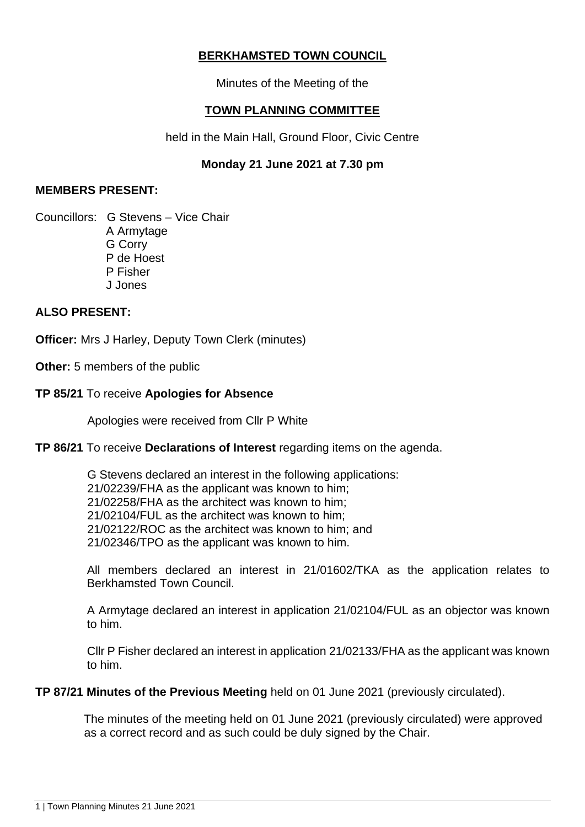# **BERKHAMSTED TOWN COUNCIL**

Minutes of the Meeting of the

## **TOWN PLANNING COMMITTEE**

held in the Main Hall, Ground Floor, Civic Centre

## **Monday 21 June 2021 at 7.30 pm**

### **MEMBERS PRESENT:**

Councillors: G Stevens – Vice Chair A Armytage G Corry P de Hoest P Fisher J Jones

## **ALSO PRESENT:**

**Officer:** Mrs J Harley, Deputy Town Clerk (minutes)

**Other:** 5 members of the public

## **TP 85/21** To receive **Apologies for Absence**

Apologies were received from Cllr P White

#### **TP 86/21** To receive **Declarations of Interest** regarding items on the agenda.

 G Stevens declared an interest in the following applications: 21/02239/FHA as the applicant was known to him; 21/02258/FHA as the architect was known to him; 21/02104/FUL as the architect was known to him; 21/02122/ROC as the architect was known to him; and 21/02346/TPO as the applicant was known to him.

All members declared an interest in 21/01602/TKA as the application relates to Berkhamsted Town Council.

A Armytage declared an interest in application 21/02104/FUL as an objector was known to him.

Cllr P Fisher declared an interest in application 21/02133/FHA as the applicant was known to him.

**TP 87/21 Minutes of the Previous Meeting** held on 01 June 2021 (previously circulated).

 The minutes of the meeting held on 01 June 2021 (previously circulated) were approved as a correct record and as such could be duly signed by the Chair.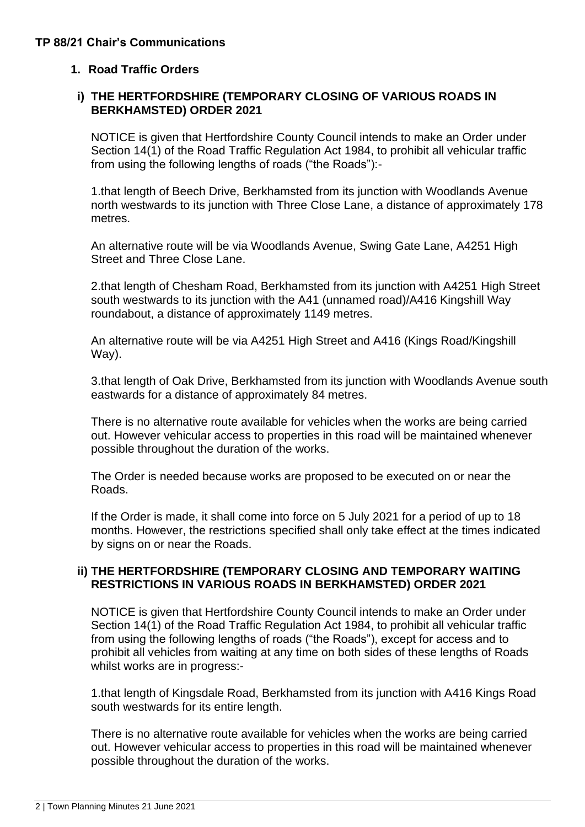## **TP 88/21 Chair's Communications**

## **1. Road Traffic Orders**

### **i) THE HERTFORDSHIRE (TEMPORARY CLOSING OF VARIOUS ROADS IN BERKHAMSTED) ORDER 2021**

NOTICE is given that Hertfordshire County Council intends to make an Order under Section 14(1) of the Road Traffic Regulation Act 1984, to prohibit all vehicular traffic from using the following lengths of roads ("the Roads"):-

1.that length of Beech Drive, Berkhamsted from its junction with Woodlands Avenue north westwards to its junction with Three Close Lane, a distance of approximately 178 metres.

An alternative route will be via Woodlands Avenue, Swing Gate Lane, A4251 High Street and Three Close Lane.

2.that length of Chesham Road, Berkhamsted from its junction with A4251 High Street south westwards to its junction with the A41 (unnamed road)/A416 Kingshill Way roundabout, a distance of approximately 1149 metres.

An alternative route will be via A4251 High Street and A416 (Kings Road/Kingshill Way).

3.that length of Oak Drive, Berkhamsted from its junction with Woodlands Avenue south eastwards for a distance of approximately 84 metres.

There is no alternative route available for vehicles when the works are being carried out. However vehicular access to properties in this road will be maintained whenever possible throughout the duration of the works.

The Order is needed because works are proposed to be executed on or near the Roads.

If the Order is made, it shall come into force on 5 July 2021 for a period of up to 18 months. However, the restrictions specified shall only take effect at the times indicated by signs on or near the Roads.

#### **ii) THE HERTFORDSHIRE (TEMPORARY CLOSING AND TEMPORARY WAITING RESTRICTIONS IN VARIOUS ROADS IN BERKHAMSTED) ORDER 2021**

NOTICE is given that Hertfordshire County Council intends to make an Order under Section 14(1) of the Road Traffic Regulation Act 1984, to prohibit all vehicular traffic from using the following lengths of roads ("the Roads"), except for access and to prohibit all vehicles from waiting at any time on both sides of these lengths of Roads whilst works are in progress:-

1.that length of Kingsdale Road, Berkhamsted from its junction with A416 Kings Road south westwards for its entire length.

There is no alternative route available for vehicles when the works are being carried out. However vehicular access to properties in this road will be maintained whenever possible throughout the duration of the works.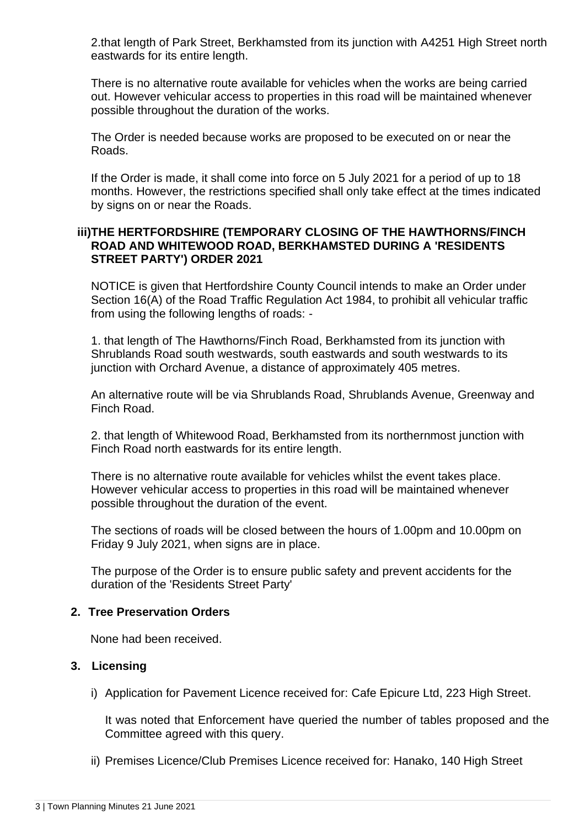2.that length of Park Street, Berkhamsted from its junction with A4251 High Street north eastwards for its entire length.

There is no alternative route available for vehicles when the works are being carried out. However vehicular access to properties in this road will be maintained whenever possible throughout the duration of the works.

The Order is needed because works are proposed to be executed on or near the Roads.

If the Order is made, it shall come into force on 5 July 2021 for a period of up to 18 months. However, the restrictions specified shall only take effect at the times indicated by signs on or near the Roads.

### **iii)THE HERTFORDSHIRE (TEMPORARY CLOSING OF THE HAWTHORNS/FINCH ROAD AND WHITEWOOD ROAD, BERKHAMSTED DURING A 'RESIDENTS STREET PARTY') ORDER 2021**

NOTICE is given that Hertfordshire County Council intends to make an Order under Section 16(A) of the Road Traffic Regulation Act 1984, to prohibit all vehicular traffic from using the following lengths of roads: -

1. that length of The Hawthorns/Finch Road, Berkhamsted from its junction with Shrublands Road south westwards, south eastwards and south westwards to its junction with Orchard Avenue, a distance of approximately 405 metres.

An alternative route will be via Shrublands Road, Shrublands Avenue, Greenway and Finch Road.

2. that length of Whitewood Road, Berkhamsted from its northernmost junction with Finch Road north eastwards for its entire length.

There is no alternative route available for vehicles whilst the event takes place. However vehicular access to properties in this road will be maintained whenever possible throughout the duration of the event.

The sections of roads will be closed between the hours of 1.00pm and 10.00pm on Friday 9 July 2021, when signs are in place.

The purpose of the Order is to ensure public safety and prevent accidents for the duration of the 'Residents Street Party'

#### **2. Tree Preservation Orders**

None had been received.

#### **3. Licensing**

i) Application for Pavement Licence received for: Cafe Epicure Ltd, 223 High Street.

It was noted that Enforcement have queried the number of tables proposed and the Committee agreed with this query.

ii) Premises Licence/Club Premises Licence received for: Hanako, 140 High Street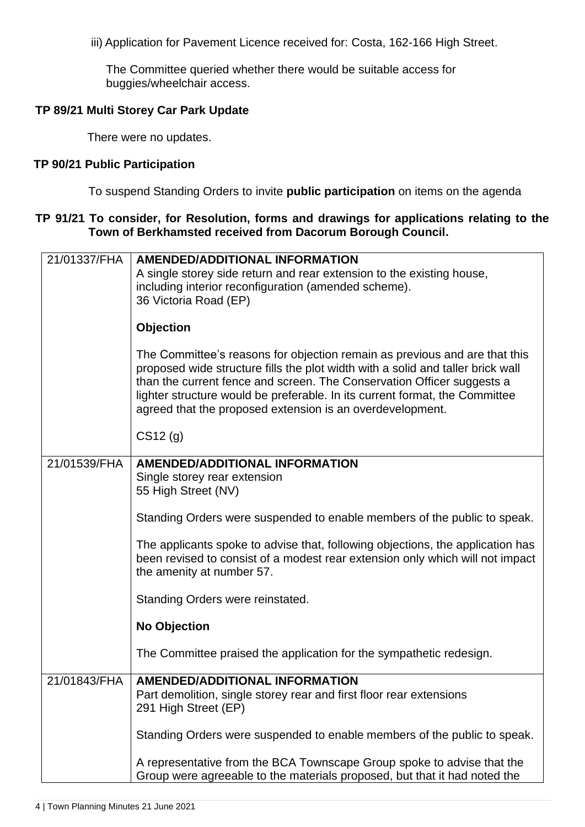iii) Application for Pavement Licence received for: Costa, 162-166 High Street.

The Committee queried whether there would be suitable access for buggies/wheelchair access.

#### **TP 89/21 Multi Storey Car Park Update**

There were no updates.

#### **TP 90/21 Public Participation**

To suspend Standing Orders to invite **public participation** on items on the agenda

#### **TP 91/21 To consider, for Resolution, forms and drawings for applications relating to the Town of Berkhamsted received from Dacorum Borough Council.**

| 21/01337/FHA | <b>AMENDED/ADDITIONAL INFORMATION</b><br>A single storey side return and rear extension to the existing house,<br>including interior reconfiguration (amended scheme).<br>36 Victoria Road (EP)                                                                                                                                                                                     |
|--------------|-------------------------------------------------------------------------------------------------------------------------------------------------------------------------------------------------------------------------------------------------------------------------------------------------------------------------------------------------------------------------------------|
|              | <b>Objection</b>                                                                                                                                                                                                                                                                                                                                                                    |
|              | The Committee's reasons for objection remain as previous and are that this<br>proposed wide structure fills the plot width with a solid and taller brick wall<br>than the current fence and screen. The Conservation Officer suggests a<br>lighter structure would be preferable. In its current format, the Committee<br>agreed that the proposed extension is an overdevelopment. |
|              | CS12(g)                                                                                                                                                                                                                                                                                                                                                                             |
| 21/01539/FHA | <b>AMENDED/ADDITIONAL INFORMATION</b><br>Single storey rear extension<br>55 High Street (NV)                                                                                                                                                                                                                                                                                        |
|              | Standing Orders were suspended to enable members of the public to speak.                                                                                                                                                                                                                                                                                                            |
|              | The applicants spoke to advise that, following objections, the application has<br>been revised to consist of a modest rear extension only which will not impact<br>the amenity at number 57.                                                                                                                                                                                        |
|              | Standing Orders were reinstated.                                                                                                                                                                                                                                                                                                                                                    |
|              | <b>No Objection</b>                                                                                                                                                                                                                                                                                                                                                                 |
|              | The Committee praised the application for the sympathetic redesign.                                                                                                                                                                                                                                                                                                                 |
| 21/01843/FHA | <b>AMENDED/ADDITIONAL INFORMATION</b><br>Part demolition, single storey rear and first floor rear extensions<br>291 High Street (EP)                                                                                                                                                                                                                                                |
|              | Standing Orders were suspended to enable members of the public to speak.                                                                                                                                                                                                                                                                                                            |
|              | A representative from the BCA Townscape Group spoke to advise that the<br>Group were agreeable to the materials proposed, but that it had noted the                                                                                                                                                                                                                                 |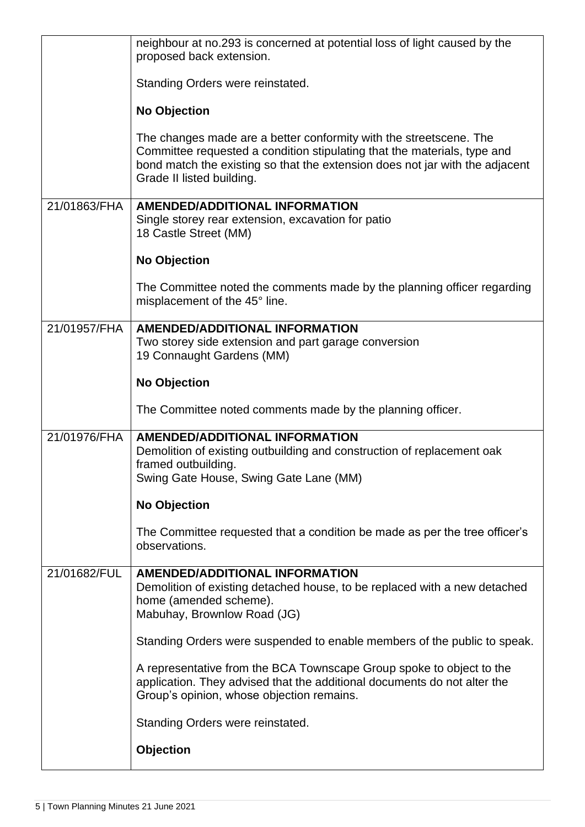|              | neighbour at no.293 is concerned at potential loss of light caused by the<br>proposed back extension.                                                                                                                                                       |
|--------------|-------------------------------------------------------------------------------------------------------------------------------------------------------------------------------------------------------------------------------------------------------------|
|              | Standing Orders were reinstated.                                                                                                                                                                                                                            |
|              | <b>No Objection</b>                                                                                                                                                                                                                                         |
|              | The changes made are a better conformity with the streetscene. The<br>Committee requested a condition stipulating that the materials, type and<br>bond match the existing so that the extension does not jar with the adjacent<br>Grade II listed building. |
| 21/01863/FHA | <b>AMENDED/ADDITIONAL INFORMATION</b><br>Single storey rear extension, excavation for patio<br>18 Castle Street (MM)                                                                                                                                        |
|              | <b>No Objection</b>                                                                                                                                                                                                                                         |
|              | The Committee noted the comments made by the planning officer regarding<br>misplacement of the 45° line.                                                                                                                                                    |
| 21/01957/FHA | <b>AMENDED/ADDITIONAL INFORMATION</b><br>Two storey side extension and part garage conversion<br>19 Connaught Gardens (MM)                                                                                                                                  |
|              | <b>No Objection</b>                                                                                                                                                                                                                                         |
|              | The Committee noted comments made by the planning officer.                                                                                                                                                                                                  |
| 21/01976/FHA | <b>AMENDED/ADDITIONAL INFORMATION</b><br>Demolition of existing outbuilding and construction of replacement oak<br>framed outbuilding.<br>Swing Gate House, Swing Gate Lane (MM)                                                                            |
|              | <b>No Objection</b>                                                                                                                                                                                                                                         |
|              | The Committee requested that a condition be made as per the tree officer's<br>observations.                                                                                                                                                                 |
| 21/01682/FUL | <b>AMENDED/ADDITIONAL INFORMATION</b><br>Demolition of existing detached house, to be replaced with a new detached<br>home (amended scheme).<br>Mabuhay, Brownlow Road (JG)                                                                                 |
|              | Standing Orders were suspended to enable members of the public to speak.                                                                                                                                                                                    |
|              | A representative from the BCA Townscape Group spoke to object to the<br>application. They advised that the additional documents do not alter the<br>Group's opinion, whose objection remains.                                                               |
|              | Standing Orders were reinstated.                                                                                                                                                                                                                            |
|              | <b>Objection</b>                                                                                                                                                                                                                                            |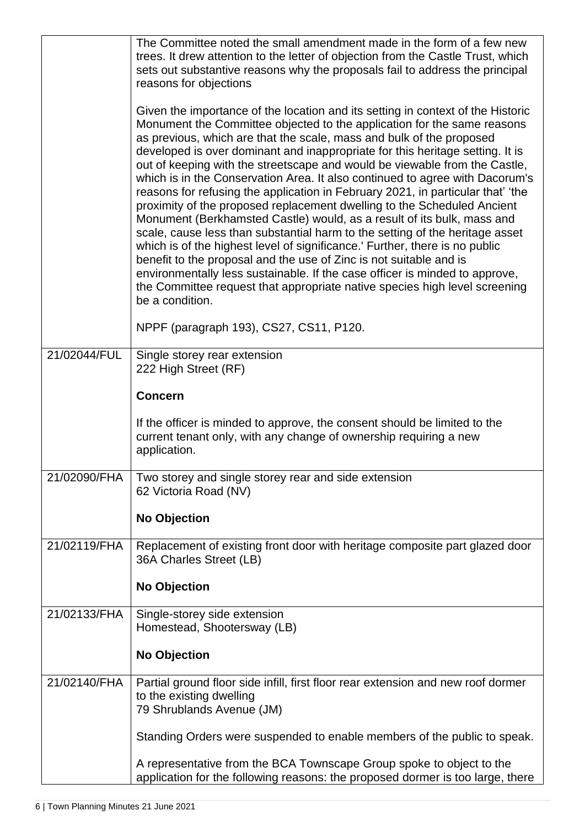|              | The Committee noted the small amendment made in the form of a few new<br>trees. It drew attention to the letter of objection from the Castle Trust, which<br>sets out substantive reasons why the proposals fail to address the principal<br>reasons for objections<br>Given the importance of the location and its setting in context of the Historic<br>Monument the Committee objected to the application for the same reasons<br>as previous, which are that the scale, mass and bulk of the proposed<br>developed is over dominant and inappropriate for this heritage setting. It is<br>out of keeping with the streetscape and would be viewable from the Castle,<br>which is in the Conservation Area. It also continued to agree with Dacorum's<br>reasons for refusing the application in February 2021, in particular that' 'the<br>proximity of the proposed replacement dwelling to the Scheduled Ancient<br>Monument (Berkhamsted Castle) would, as a result of its bulk, mass and<br>scale, cause less than substantial harm to the setting of the heritage asset<br>which is of the highest level of significance.' Further, there is no public<br>benefit to the proposal and the use of Zinc is not suitable and is<br>environmentally less sustainable. If the case officer is minded to approve,<br>the Committee request that appropriate native species high level screening<br>be a condition. |
|--------------|-----------------------------------------------------------------------------------------------------------------------------------------------------------------------------------------------------------------------------------------------------------------------------------------------------------------------------------------------------------------------------------------------------------------------------------------------------------------------------------------------------------------------------------------------------------------------------------------------------------------------------------------------------------------------------------------------------------------------------------------------------------------------------------------------------------------------------------------------------------------------------------------------------------------------------------------------------------------------------------------------------------------------------------------------------------------------------------------------------------------------------------------------------------------------------------------------------------------------------------------------------------------------------------------------------------------------------------------------------------------------------------------------------------------------|
|              | NPPF (paragraph 193), CS27, CS11, P120.                                                                                                                                                                                                                                                                                                                                                                                                                                                                                                                                                                                                                                                                                                                                                                                                                                                                                                                                                                                                                                                                                                                                                                                                                                                                                                                                                                               |
| 21/02044/FUL | Single storey rear extension<br>222 High Street (RF)<br><b>Concern</b><br>If the officer is minded to approve, the consent should be limited to the<br>current tenant only, with any change of ownership requiring a new<br>application.                                                                                                                                                                                                                                                                                                                                                                                                                                                                                                                                                                                                                                                                                                                                                                                                                                                                                                                                                                                                                                                                                                                                                                              |
| 21/02090/FHA | Two storey and single storey rear and side extension<br>62 Victoria Road (NV)<br><b>No Objection</b>                                                                                                                                                                                                                                                                                                                                                                                                                                                                                                                                                                                                                                                                                                                                                                                                                                                                                                                                                                                                                                                                                                                                                                                                                                                                                                                  |
| 21/02119/FHA | Replacement of existing front door with heritage composite part glazed door<br>36A Charles Street (LB)<br><b>No Objection</b>                                                                                                                                                                                                                                                                                                                                                                                                                                                                                                                                                                                                                                                                                                                                                                                                                                                                                                                                                                                                                                                                                                                                                                                                                                                                                         |
| 21/02133/FHA | Single-storey side extension<br>Homestead, Shootersway (LB)<br><b>No Objection</b>                                                                                                                                                                                                                                                                                                                                                                                                                                                                                                                                                                                                                                                                                                                                                                                                                                                                                                                                                                                                                                                                                                                                                                                                                                                                                                                                    |
| 21/02140/FHA | Partial ground floor side infill, first floor rear extension and new roof dormer<br>to the existing dwelling<br>79 Shrublands Avenue (JM)<br>Standing Orders were suspended to enable members of the public to speak.<br>A representative from the BCA Townscape Group spoke to object to the<br>application for the following reasons: the proposed dormer is too large, there                                                                                                                                                                                                                                                                                                                                                                                                                                                                                                                                                                                                                                                                                                                                                                                                                                                                                                                                                                                                                                       |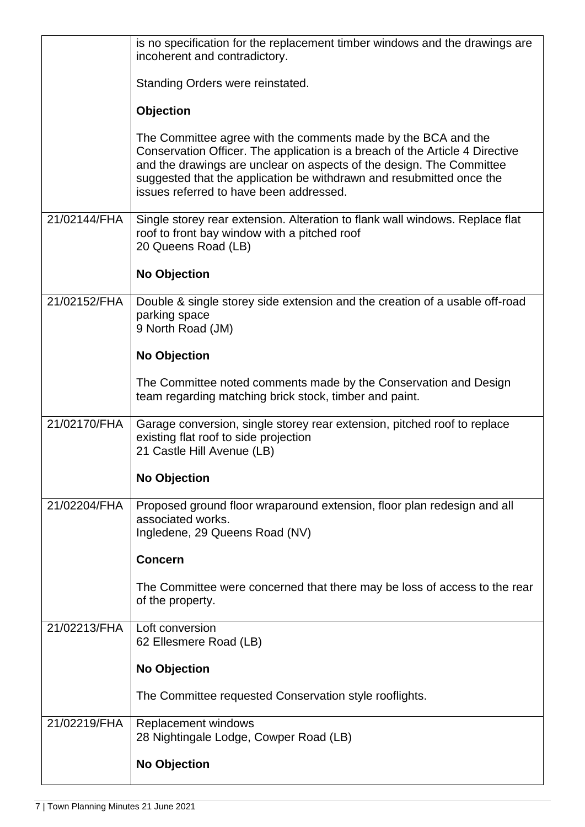|              | is no specification for the replacement timber windows and the drawings are<br>incoherent and contradictory.                                                                                                                                                                                                                             |
|--------------|------------------------------------------------------------------------------------------------------------------------------------------------------------------------------------------------------------------------------------------------------------------------------------------------------------------------------------------|
|              | Standing Orders were reinstated.                                                                                                                                                                                                                                                                                                         |
|              | Objection                                                                                                                                                                                                                                                                                                                                |
|              | The Committee agree with the comments made by the BCA and the<br>Conservation Officer. The application is a breach of the Article 4 Directive<br>and the drawings are unclear on aspects of the design. The Committee<br>suggested that the application be withdrawn and resubmitted once the<br>issues referred to have been addressed. |
| 21/02144/FHA | Single storey rear extension. Alteration to flank wall windows. Replace flat<br>roof to front bay window with a pitched roof<br>20 Queens Road (LB)                                                                                                                                                                                      |
|              | <b>No Objection</b>                                                                                                                                                                                                                                                                                                                      |
| 21/02152/FHA | Double & single storey side extension and the creation of a usable off-road<br>parking space<br>9 North Road (JM)                                                                                                                                                                                                                        |
|              | <b>No Objection</b>                                                                                                                                                                                                                                                                                                                      |
|              | The Committee noted comments made by the Conservation and Design<br>team regarding matching brick stock, timber and paint.                                                                                                                                                                                                               |
| 21/02170/FHA | Garage conversion, single storey rear extension, pitched roof to replace<br>existing flat roof to side projection<br>21 Castle Hill Avenue (LB)                                                                                                                                                                                          |
|              | <b>No Objection</b>                                                                                                                                                                                                                                                                                                                      |
| 21/02204/FHA | Proposed ground floor wraparound extension, floor plan redesign and all<br>associated works.<br>Ingledene, 29 Queens Road (NV)                                                                                                                                                                                                           |
|              | <b>Concern</b>                                                                                                                                                                                                                                                                                                                           |
|              | The Committee were concerned that there may be loss of access to the rear<br>of the property.                                                                                                                                                                                                                                            |
| 21/02213/FHA | Loft conversion<br>62 Ellesmere Road (LB)                                                                                                                                                                                                                                                                                                |
|              | <b>No Objection</b>                                                                                                                                                                                                                                                                                                                      |
|              | The Committee requested Conservation style rooflights.                                                                                                                                                                                                                                                                                   |
| 21/02219/FHA | Replacement windows<br>28 Nightingale Lodge, Cowper Road (LB)                                                                                                                                                                                                                                                                            |
|              | No Objection                                                                                                                                                                                                                                                                                                                             |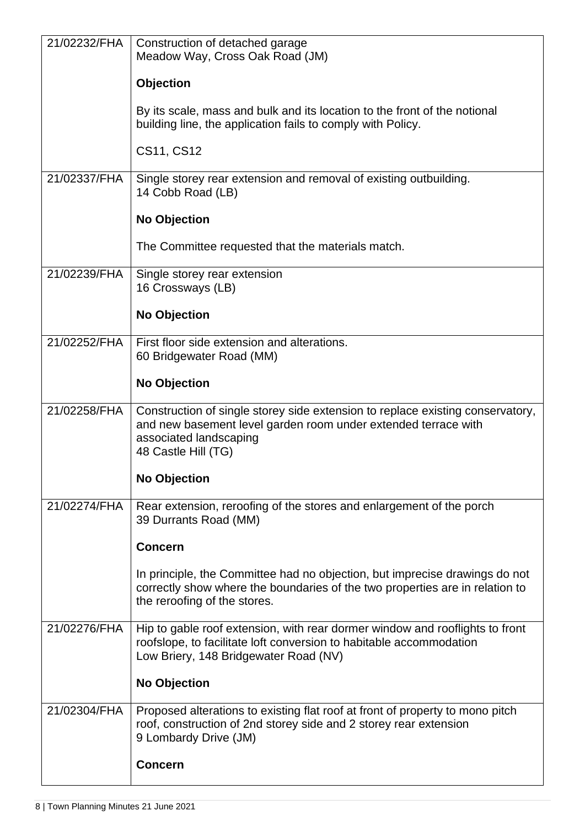| 21/02232/FHA | Construction of detached garage<br>Meadow Way, Cross Oak Road (JM)                                                                                                                                |
|--------------|---------------------------------------------------------------------------------------------------------------------------------------------------------------------------------------------------|
|              | <b>Objection</b>                                                                                                                                                                                  |
|              | By its scale, mass and bulk and its location to the front of the notional<br>building line, the application fails to comply with Policy.                                                          |
|              | CS11, CS12                                                                                                                                                                                        |
| 21/02337/FHA | Single storey rear extension and removal of existing outbuilding.<br>14 Cobb Road (LB)                                                                                                            |
|              | <b>No Objection</b>                                                                                                                                                                               |
|              | The Committee requested that the materials match.                                                                                                                                                 |
| 21/02239/FHA | Single storey rear extension<br>16 Crossways (LB)                                                                                                                                                 |
|              | <b>No Objection</b>                                                                                                                                                                               |
| 21/02252/FHA | First floor side extension and alterations.<br>60 Bridgewater Road (MM)                                                                                                                           |
|              | <b>No Objection</b>                                                                                                                                                                               |
| 21/02258/FHA | Construction of single storey side extension to replace existing conservatory,<br>and new basement level garden room under extended terrace with<br>associated landscaping<br>48 Castle Hill (TG) |
|              | <b>No Objection</b>                                                                                                                                                                               |
| 21/02274/FHA | Rear extension, reroofing of the stores and enlargement of the porch<br>39 Durrants Road (MM)                                                                                                     |
|              | <b>Concern</b>                                                                                                                                                                                    |
|              | In principle, the Committee had no objection, but imprecise drawings do not<br>correctly show where the boundaries of the two properties are in relation to<br>the reroofing of the stores.       |
| 21/02276/FHA | Hip to gable roof extension, with rear dormer window and rooflights to front<br>roofslope, to facilitate loft conversion to habitable accommodation<br>Low Briery, 148 Bridgewater Road (NV)      |
|              | <b>No Objection</b>                                                                                                                                                                               |
| 21/02304/FHA | Proposed alterations to existing flat roof at front of property to mono pitch<br>roof, construction of 2nd storey side and 2 storey rear extension<br>9 Lombardy Drive (JM)                       |
|              | <b>Concern</b>                                                                                                                                                                                    |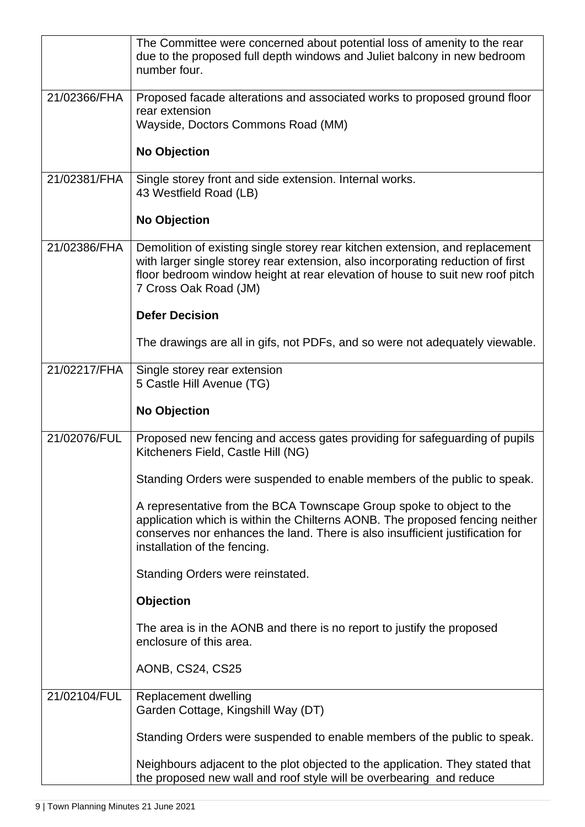|              | The Committee were concerned about potential loss of amenity to the rear<br>due to the proposed full depth windows and Juliet balcony in new bedroom<br>number four.                                                                                                      |
|--------------|---------------------------------------------------------------------------------------------------------------------------------------------------------------------------------------------------------------------------------------------------------------------------|
| 21/02366/FHA | Proposed facade alterations and associated works to proposed ground floor<br>rear extension<br>Wayside, Doctors Commons Road (MM)                                                                                                                                         |
|              | <b>No Objection</b>                                                                                                                                                                                                                                                       |
| 21/02381/FHA | Single storey front and side extension. Internal works.<br>43 Westfield Road (LB)                                                                                                                                                                                         |
|              | <b>No Objection</b>                                                                                                                                                                                                                                                       |
| 21/02386/FHA | Demolition of existing single storey rear kitchen extension, and replacement<br>with larger single storey rear extension, also incorporating reduction of first<br>floor bedroom window height at rear elevation of house to suit new roof pitch<br>7 Cross Oak Road (JM) |
|              | <b>Defer Decision</b>                                                                                                                                                                                                                                                     |
|              | The drawings are all in gifs, not PDFs, and so were not adequately viewable.                                                                                                                                                                                              |
| 21/02217/FHA | Single storey rear extension<br>5 Castle Hill Avenue (TG)                                                                                                                                                                                                                 |
|              | <b>No Objection</b>                                                                                                                                                                                                                                                       |
| 21/02076/FUL | Proposed new fencing and access gates providing for safeguarding of pupils<br>Kitcheners Field, Castle Hill (NG)                                                                                                                                                          |
|              | Standing Orders were suspended to enable members of the public to speak.                                                                                                                                                                                                  |
|              | A representative from the BCA Townscape Group spoke to object to the<br>application which is within the Chilterns AONB. The proposed fencing neither<br>conserves nor enhances the land. There is also insufficient justification for<br>installation of the fencing.     |
|              | Standing Orders were reinstated.                                                                                                                                                                                                                                          |
|              | <b>Objection</b>                                                                                                                                                                                                                                                          |
|              | The area is in the AONB and there is no report to justify the proposed<br>enclosure of this area.                                                                                                                                                                         |
|              | AONB, CS24, CS25                                                                                                                                                                                                                                                          |
| 21/02104/FUL | Replacement dwelling<br>Garden Cottage, Kingshill Way (DT)                                                                                                                                                                                                                |
|              | Standing Orders were suspended to enable members of the public to speak.                                                                                                                                                                                                  |
|              | Neighbours adjacent to the plot objected to the application. They stated that<br>the proposed new wall and roof style will be overbearing and reduce                                                                                                                      |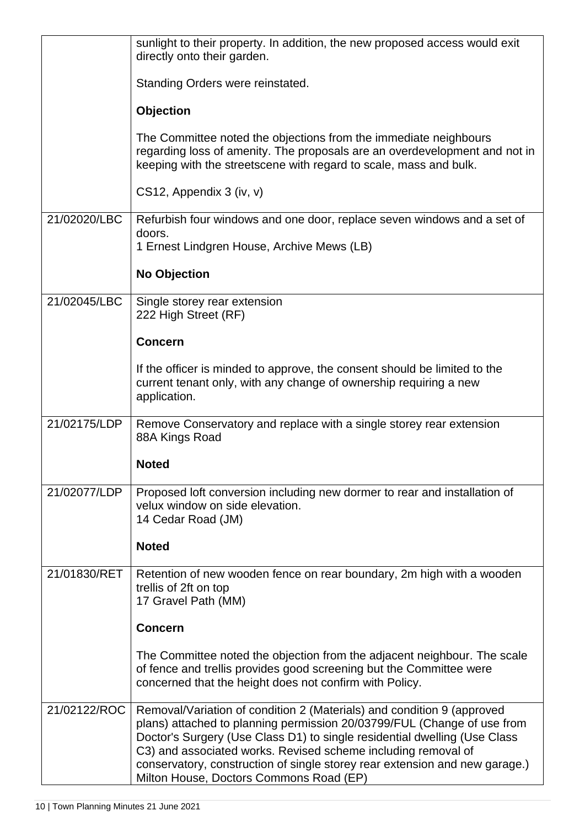|              | sunlight to their property. In addition, the new proposed access would exit<br>directly onto their garden.                                                                                                                                                                                                                                                                                                                |
|--------------|---------------------------------------------------------------------------------------------------------------------------------------------------------------------------------------------------------------------------------------------------------------------------------------------------------------------------------------------------------------------------------------------------------------------------|
|              | Standing Orders were reinstated.                                                                                                                                                                                                                                                                                                                                                                                          |
|              | Objection                                                                                                                                                                                                                                                                                                                                                                                                                 |
|              | The Committee noted the objections from the immediate neighbours<br>regarding loss of amenity. The proposals are an overdevelopment and not in<br>keeping with the streetscene with regard to scale, mass and bulk.                                                                                                                                                                                                       |
|              | CS12, Appendix 3 (iv, v)                                                                                                                                                                                                                                                                                                                                                                                                  |
| 21/02020/LBC | Refurbish four windows and one door, replace seven windows and a set of<br>doors.<br>1 Ernest Lindgren House, Archive Mews (LB)                                                                                                                                                                                                                                                                                           |
|              | <b>No Objection</b>                                                                                                                                                                                                                                                                                                                                                                                                       |
|              |                                                                                                                                                                                                                                                                                                                                                                                                                           |
| 21/02045/LBC | Single storey rear extension<br>222 High Street (RF)                                                                                                                                                                                                                                                                                                                                                                      |
|              | <b>Concern</b>                                                                                                                                                                                                                                                                                                                                                                                                            |
|              | If the officer is minded to approve, the consent should be limited to the<br>current tenant only, with any change of ownership requiring a new<br>application.                                                                                                                                                                                                                                                            |
| 21/02175/LDP | Remove Conservatory and replace with a single storey rear extension<br>88A Kings Road                                                                                                                                                                                                                                                                                                                                     |
|              | <b>Noted</b>                                                                                                                                                                                                                                                                                                                                                                                                              |
| 21/02077/LDP | Proposed loft conversion including new dormer to rear and installation of<br>velux window on side elevation.<br>14 Cedar Road (JM)                                                                                                                                                                                                                                                                                        |
|              | <b>Noted</b>                                                                                                                                                                                                                                                                                                                                                                                                              |
| 21/01830/RET | Retention of new wooden fence on rear boundary, 2m high with a wooden<br>trellis of 2ft on top<br>17 Gravel Path (MM)                                                                                                                                                                                                                                                                                                     |
|              | <b>Concern</b>                                                                                                                                                                                                                                                                                                                                                                                                            |
|              | The Committee noted the objection from the adjacent neighbour. The scale<br>of fence and trellis provides good screening but the Committee were<br>concerned that the height does not confirm with Policy.                                                                                                                                                                                                                |
| 21/02122/ROC | Removal/Variation of condition 2 (Materials) and condition 9 (approved<br>plans) attached to planning permission 20/03799/FUL (Change of use from<br>Doctor's Surgery (Use Class D1) to single residential dwelling (Use Class<br>C3) and associated works. Revised scheme including removal of<br>conservatory, construction of single storey rear extension and new garage.)<br>Milton House, Doctors Commons Road (EP) |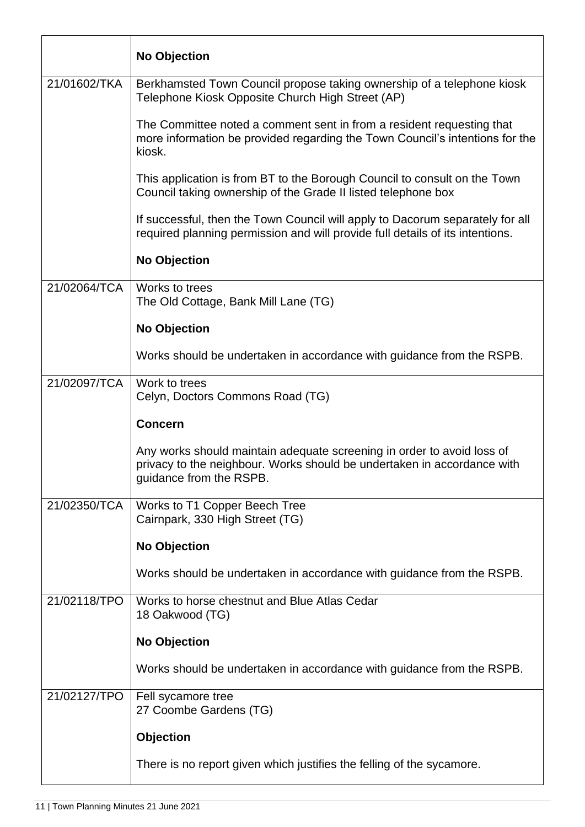|              | <b>No Objection</b>                                                                                                                                                          |
|--------------|------------------------------------------------------------------------------------------------------------------------------------------------------------------------------|
| 21/01602/TKA | Berkhamsted Town Council propose taking ownership of a telephone kiosk<br>Telephone Kiosk Opposite Church High Street (AP)                                                   |
|              | The Committee noted a comment sent in from a resident requesting that<br>more information be provided regarding the Town Council's intentions for the<br>kiosk.              |
|              | This application is from BT to the Borough Council to consult on the Town<br>Council taking ownership of the Grade II listed telephone box                                   |
|              | If successful, then the Town Council will apply to Dacorum separately for all<br>required planning permission and will provide full details of its intentions.               |
|              | <b>No Objection</b>                                                                                                                                                          |
| 21/02064/TCA | Works to trees<br>The Old Cottage, Bank Mill Lane (TG)                                                                                                                       |
|              | <b>No Objection</b>                                                                                                                                                          |
|              | Works should be undertaken in accordance with guidance from the RSPB.                                                                                                        |
| 21/02097/TCA | Work to trees<br>Celyn, Doctors Commons Road (TG)                                                                                                                            |
|              | <b>Concern</b>                                                                                                                                                               |
|              | Any works should maintain adequate screening in order to avoid loss of<br>privacy to the neighbour. Works should be undertaken in accordance with<br>guidance from the RSPB. |
| 21/02350/TCA | Works to T1 Copper Beech Tree<br>Cairnpark, 330 High Street (TG)                                                                                                             |
|              | <b>No Objection</b>                                                                                                                                                          |
|              | Works should be undertaken in accordance with guidance from the RSPB.                                                                                                        |
| 21/02118/TPO | Works to horse chestnut and Blue Atlas Cedar<br>18 Oakwood (TG)                                                                                                              |
|              | <b>No Objection</b>                                                                                                                                                          |
|              | Works should be undertaken in accordance with guidance from the RSPB.                                                                                                        |
| 21/02127/TPO | Fell sycamore tree<br>27 Coombe Gardens (TG)                                                                                                                                 |
|              | Objection                                                                                                                                                                    |
|              | There is no report given which justifies the felling of the sycamore.                                                                                                        |